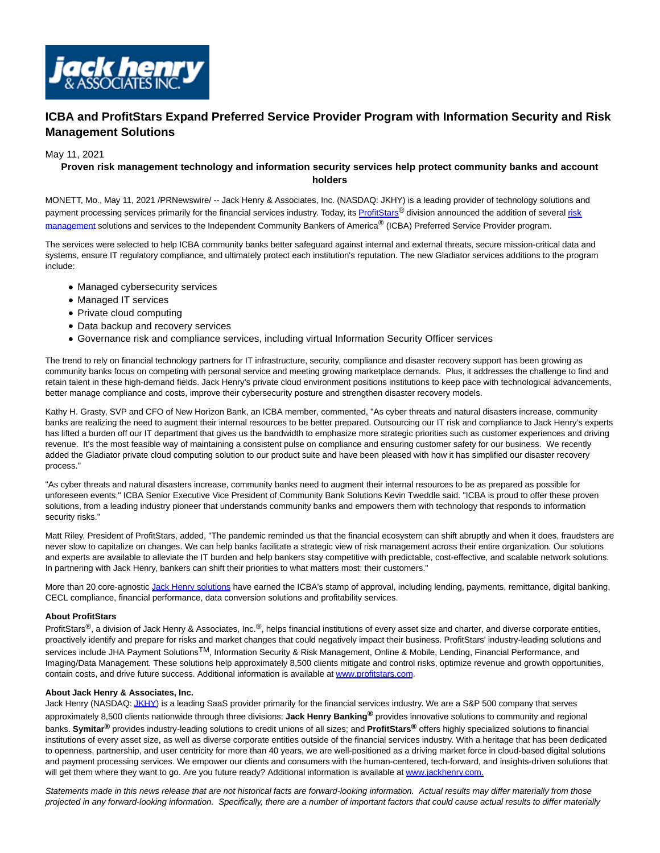

# **ICBA and ProfitStars Expand Preferred Service Provider Program with Information Security and Risk Management Solutions**

### May 11, 2021

## **Proven risk management technology and information security services help protect community banks and account holders**

MONETT, Mo., May 11, 2021 /PRNewswire/ -- Jack Henry & Associates, Inc. (NASDAQ: JKHY) is a leading provider of technology solutions and payment processing services primarily for the financial services industry. Today, its [ProfitStars](https://c212.net/c/link/?t=0&l=en&o=3158016-1&h=2127331785&u=http%3A%2F%2Fwww.profitstars.com%2F&a=ProfitStars)® division announced the addition of severa[l risk](https://c212.net/c/link/?t=0&l=en&o=3158016-1&h=2952639640&u=https%3A%2F%2Fdiscover.jackhenry.com%2Frisk-solutions%23home&a=risk+management) management solutions and services to the Independent Community Bankers of America® (ICBA) Preferred Service Provider program.

The services were selected to help ICBA community banks better safeguard against internal and external threats, secure mission-critical data and systems, ensure IT regulatory compliance, and ultimately protect each institution's reputation. The new Gladiator services additions to the program include:

- Managed cybersecurity services
- Managed IT services
- Private cloud computing
- Data backup and recovery services
- Governance risk and compliance services, including virtual Information Security Officer services

The trend to rely on financial technology partners for IT infrastructure, security, compliance and disaster recovery support has been growing as community banks focus on competing with personal service and meeting growing marketplace demands. Plus, it addresses the challenge to find and retain talent in these high-demand fields. Jack Henry's private cloud environment positions institutions to keep pace with technological advancements, better manage compliance and costs, improve their cybersecurity posture and strengthen disaster recovery models.

Kathy H. Grasty, SVP and CFO of New Horizon Bank, an ICBA member, commented, "As cyber threats and natural disasters increase, community banks are realizing the need to augment their internal resources to be better prepared. Outsourcing our IT risk and compliance to Jack Henry's experts has lifted a burden off our IT department that gives us the bandwidth to emphasize more strategic priorities such as customer experiences and driving revenue. It's the most feasible way of maintaining a consistent pulse on compliance and ensuring customer safety for our business. We recently added the Gladiator private cloud computing solution to our product suite and have been pleased with how it has simplified our disaster recovery process."

"As cyber threats and natural disasters increase, community banks need to augment their internal resources to be as prepared as possible for unforeseen events," ICBA Senior Executive Vice President of Community Bank Solutions Kevin Tweddle said. "ICBA is proud to offer these proven solutions, from a leading industry pioneer that understands community banks and empowers them with technology that responds to information security risks."

Matt Riley, President of ProfitStars, added, "The pandemic reminded us that the financial ecosystem can shift abruptly and when it does, fraudsters are never slow to capitalize on changes. We can help banks facilitate a strategic view of risk management across their entire organization. Our solutions and experts are available to alleviate the IT burden and help bankers stay competitive with predictable, cost-effective, and scalable network solutions. In partnering with Jack Henry, bankers can shift their priorities to what matters most: their customers."

More than 20 core-agnostic [Jack Henry solutions h](https://c212.net/c/link/?t=0&l=en&o=3158016-1&h=2069533583&u=http%3A%2F%2Fwww.profitstars.com%2Ficba&a=Jack+Henry+solutions)ave earned the ICBA's stamp of approval, including lending, payments, remittance, digital banking, CECL compliance, financial performance, data conversion solutions and profitability services.

### **About ProfitStars**

ProfitStars<sup>®</sup>, a division of Jack Henry & Associates, Inc.<sup>®</sup>, helps financial institutions of every asset size and charter, and diverse corporate entities, proactively identify and prepare for risks and market changes that could negatively impact their business. ProfitStars' industry-leading solutions and services include JHA Payment Solutions<sup>TM</sup>, Information Security & Risk Management, Online & Mobile, Lending, Financial Performance, and Imaging/Data Management. These solutions help approximately 8,500 clients mitigate and control risks, optimize revenue and growth opportunities, contain costs, and drive future success. Additional information is available at [www.profitstars.com.](https://c212.net/c/link/?t=0&l=en&o=3158016-1&h=2091420148&u=https%3A%2F%2Fc212.net%2Fc%2Flink%2F%3Ft%3D0%26l%3Den%26o%3D2931104-1%26h%3D1585535078%26u%3Dhttp%253A%252F%252Fwww.profitstars.com%252F%26a%3Dwww.profitstars.com&a=www.profitstars.com) 

### **About Jack Henry & Associates, Inc.**

Jack Henry (NASDAQ[: JKHY\)](https://c212.net/c/link/?t=0&l=en&o=3158016-1&h=3472991&u=http%3A%2F%2Fwww.nasdaq.com%2Fsymbol%2Fjkhy&a=JKHY) is a leading SaaS provider primarily for the financial services industry. We are a S&P 500 company that serves approximately 8,500 clients nationwide through three divisions: **Jack Henry Banking®** provides innovative solutions to community and regional banks. **Symitar®** provides industry-leading solutions to credit unions of all sizes; and **ProfitStars®** offers highly specialized solutions to financial institutions of every asset size, as well as diverse corporate entities outside of the financial services industry. With a heritage that has been dedicated to openness, partnership, and user centricity for more than 40 years, we are well-positioned as a driving market force in cloud-based digital solutions and payment processing services. We empower our clients and consumers with the human-centered, tech-forward, and insights-driven solutions that will get them where they want to go. Are you future ready? Additional information is available at [www.jackhenry.com.](https://c212.net/c/link/?t=0&l=en&o=3158016-1&h=3588984607&u=http%3A%2F%2Fwww.jackhenry.com%2F&a=www.jackhenry.com)

Statements made in this news release that are not historical facts are forward-looking information. Actual results may differ materially from those projected in any forward-looking information. Specifically, there are a number of important factors that could cause actual results to differ materially